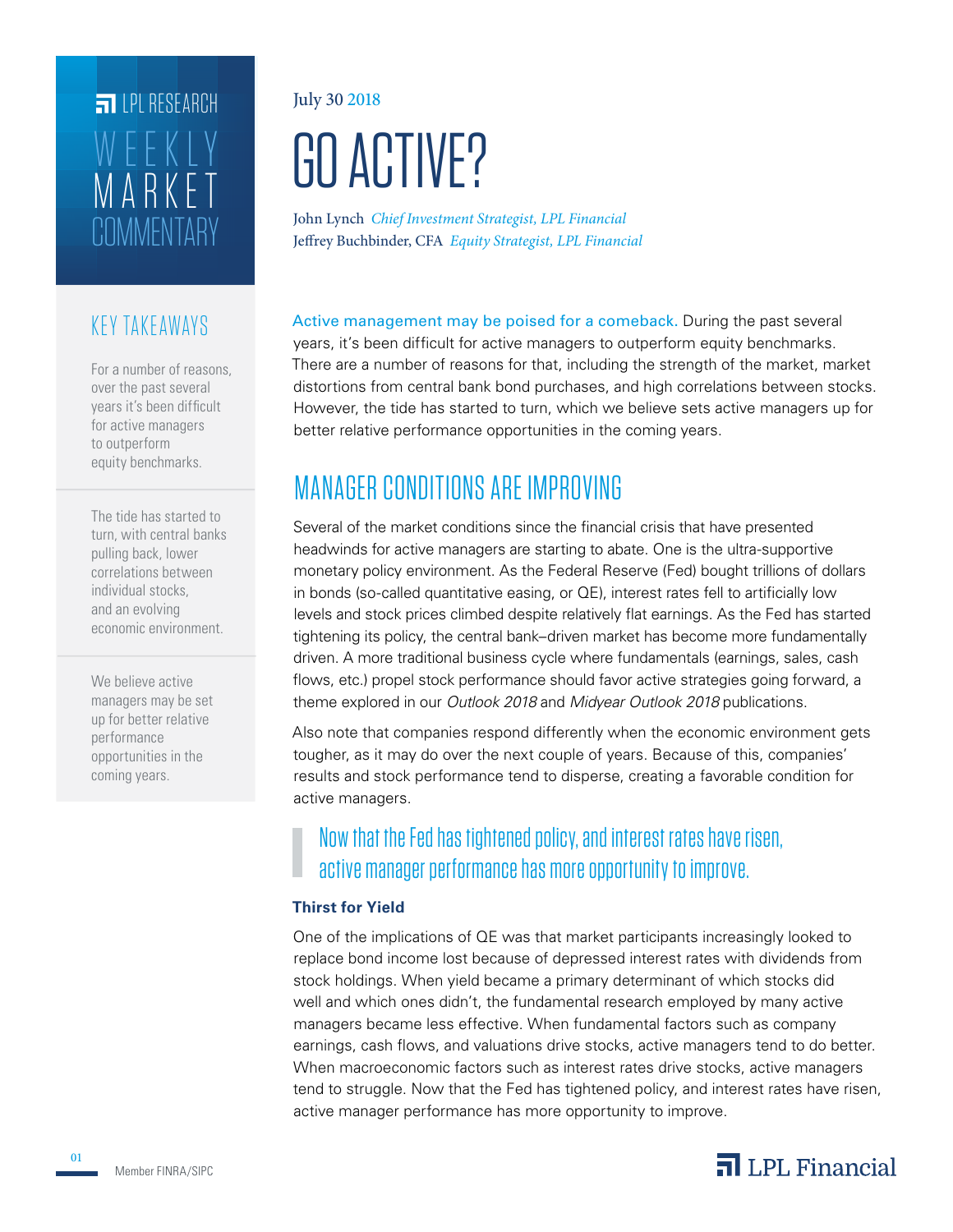# **COMMENTARY** MARKET WEEKLY **FILPI RESEARCH**

## KEY TAKEAWAYS

For a number of reasons, over the past several years it's been difficult for active managers to outperform equity benchmarks.

The tide has started to turn, with central banks pulling back, lower correlations between individual stocks, and an evolving economic environment.

We believe active managers may be set up for better relative performance opportunities in the coming years.

July 30 2018

# GO ACTIVE?

John Lynch *Chief Investment Strategist, LPL Financial* Jeffrey Buchbinder, CFA *Equity Strategist, LPL Financial*

Active management may be poised for a comeback. During the past several years, it's been difficult for active managers to outperform equity benchmarks. There are a number of reasons for that, including the strength of the market, market distortions from central bank bond purchases, and high correlations between stocks. However, the tide has started to turn, which we believe sets active managers up for better relative performance opportunities in the coming years.

## MANAGER CONDITIONS ARE IMPROVING

Several of the market conditions since the financial crisis that have presented headwinds for active managers are starting to abate. One is the ultra-supportive monetary policy environment. As the Federal Reserve (Fed) bought trillions of dollars in bonds (so-called quantitative easing, or QE), interest rates fell to artificially low levels and stock prices climbed despite relatively flat earnings. As the Fed has started tightening its policy, the central bank–driven market has become more fundamentally driven. A more traditional business cycle where fundamentals (earnings, sales, cash flows, etc.) propel stock performance should favor active strategies going forward, a theme explored in our *Outlook 2018* and *Midyear Outlook 2018* publications.

Also note that companies respond differently when the economic environment gets tougher, as it may do over the next couple of years. Because of this, companies' results and stock performance tend to disperse, creating a favorable condition for active managers.

## Now that the Fed has tightened policy, and interest rates have risen, active manager performance has more opportunity to improve.

#### **Thirst for Yield**

One of the implications of QE was that market participants increasingly looked to replace bond income lost because of depressed interest rates with dividends from stock holdings. When yield became a primary determinant of which stocks did well and which ones didn't, the fundamental research employed by many active managers became less effective. When fundamental factors such as company earnings, cash flows, and valuations drive stocks, active managers tend to do better. When macroeconomic factors such as interest rates drive stocks, active managers tend to struggle. Now that the Fed has tightened policy, and interest rates have risen, active manager performance has more opportunity to improve.

01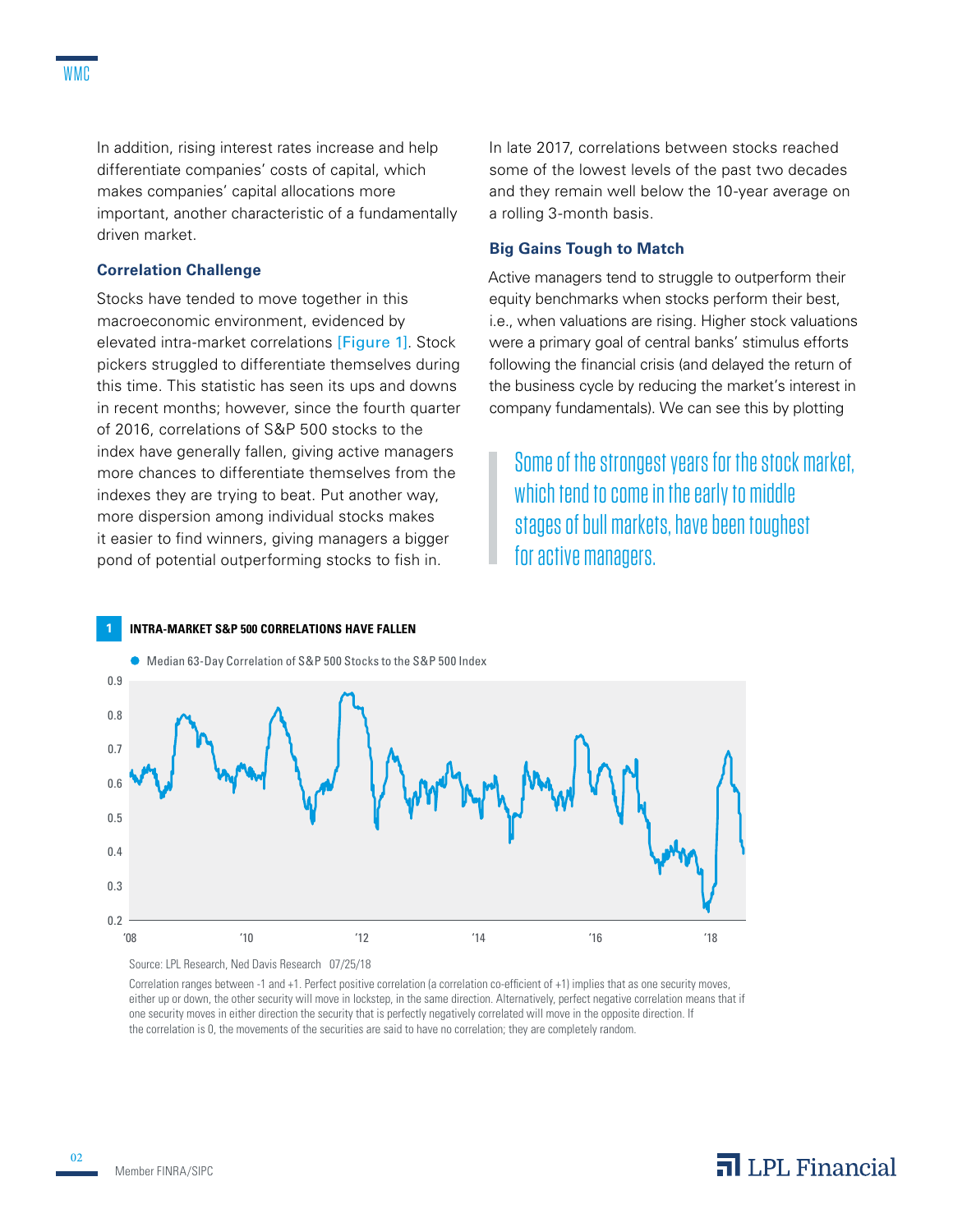In addition, rising interest rates increase and help differentiate companies' costs of capital, which makes companies' capital allocations more important, another characteristic of a fundamentally driven market.

#### **Correlation Challenge**

Stocks have tended to move together in this macroeconomic environment, evidenced by elevated intra-market correlations [Figure 1]. Stock pickers struggled to differentiate themselves during this time. This statistic has seen its ups and downs in recent months; however, since the fourth quarter of 2016, correlations of S&P 500 stocks to the index have generally fallen, giving active managers more chances to differentiate themselves from the indexes they are trying to beat. Put another way, more dispersion among individual stocks makes it easier to find winners, giving managers a bigger pond of potential outperforming stocks to fish in.

In late 2017, correlations between stocks reached some of the lowest levels of the past two decades and they remain well below the 10-year average on a rolling 3-month basis.

#### **Big Gains Tough to Match**

Active managers tend to struggle to outperform their equity benchmarks when stocks perform their best, i.e., when valuations are rising. Higher stock valuations were a primary goal of central banks' stimulus efforts following the financial crisis (and delayed the return of the business cycle by reducing the market's interest in company fundamentals). We can see this by plotting

Some of the strongest years for the stock market, which tend to come in the early to middle stages of bull markets, have been toughest for active managers.



**1 INTRA-MARKET S&P 500 CORRELATIONS HAVE FALLEN**



Correlation ranges between -1 and +1. Perfect positive correlation (a correlation co-efficient of +1) implies that as one security moves, either up or down, the other security will move in lockstep, in the same direction. Alternatively, perfect negative correlation means that if one security moves in either direction the security that is perfectly negatively correlated will move in the opposite direction. If the correlation is 0, the movements of the securities are said to have no correlation; they are completely random.

## $\overline{\mathbf{a}}$  LPL Financial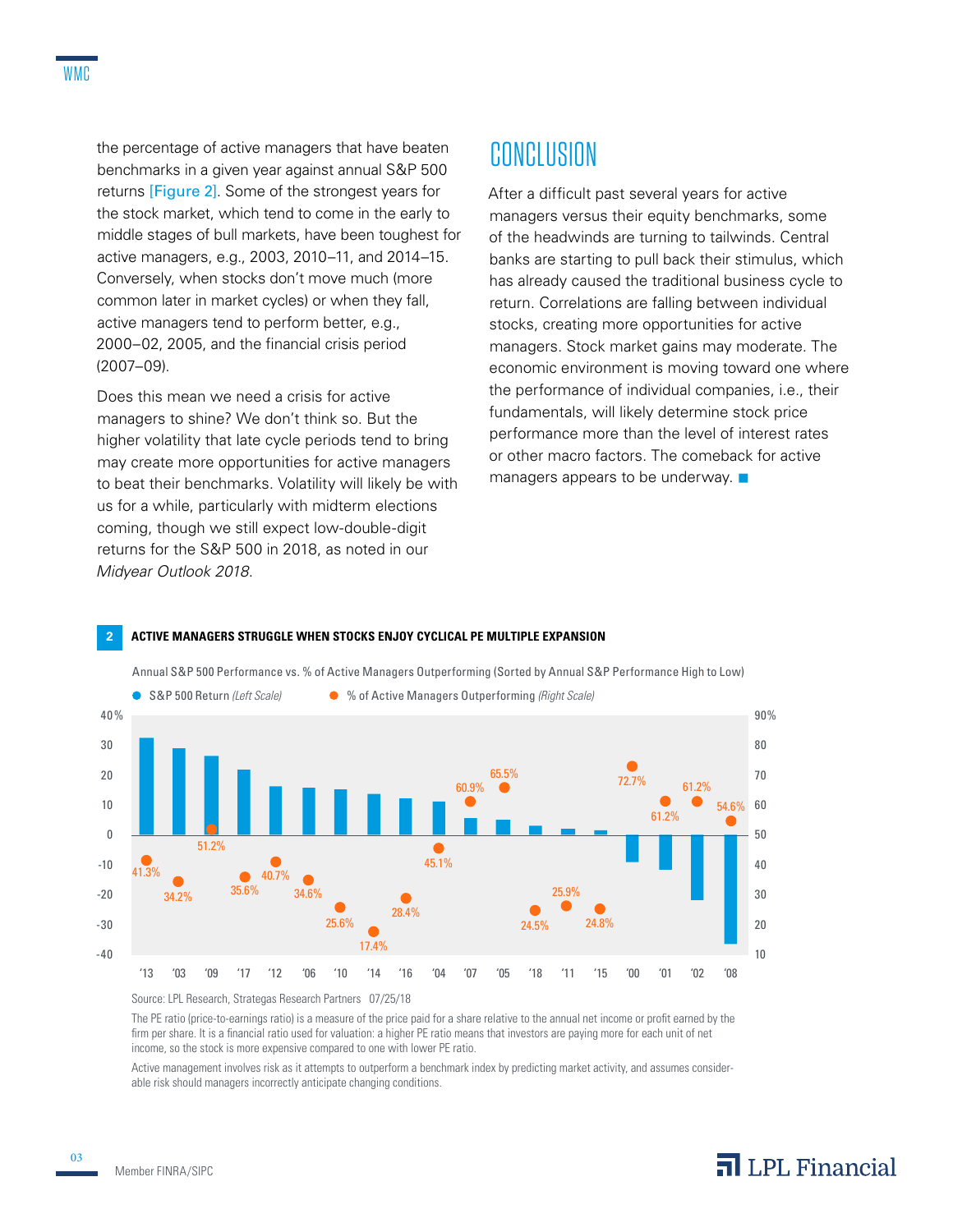the percentage of active managers that have beaten benchmarks in a given year against annual S&P 500 returns [Figure 2]. Some of the strongest years for the stock market, which tend to come in the early to middle stages of bull markets, have been toughest for active managers, e.g., 2003, 2010–11, and 2014–15. Conversely, when stocks don't move much (more common later in market cycles) or when they fall, active managers tend to perform better, e.g., 2000–02, 2005, and the financial crisis period (2007–09).

Does this mean we need a crisis for active managers to shine? We don't think so. But the higher volatility that late cycle periods tend to bring may create more opportunities for active managers to beat their benchmarks. Volatility will likely be with us for a while, particularly with midterm elections coming, though we still expect low-double-digit returns for the S&P 500 in 2018, as noted in our *Midyear Outlook 2018*.

## **CONCLUSION**

After a difficult past several years for active managers versus their equity benchmarks, some of the headwinds are turning to tailwinds. Central banks are starting to pull back their stimulus, which has already caused the traditional business cycle to return. Correlations are falling between individual stocks, creating more opportunities for active managers. Stock market gains may moderate. The economic environment is moving toward one where the performance of individual companies, i.e., their fundamentals, will likely determine stock price performance more than the level of interest rates or other macro factors. The comeback for active managers appears to be underway.  $\blacksquare$ 



#### **2 ACTIVE MANAGERS STRUGGLE WHEN STOCKS ENJOY CYCLICAL PE MULTIPLE EXPANSION**

Source: LPL Research, Strategas Research Partners 07/25/18

The PE ratio (price-to-earnings ratio) is a measure of the price paid for a share relative to the annual net income or profit earned by the firm per share. It is a financial ratio used for valuation: a higher PE ratio means that investors are paying more for each unit of net income, so the stock is more expensive compared to one with lower PE ratio.

Active management involves risk as it attempts to outperform a benchmark index by predicting market activity, and assumes considerable risk should managers incorrectly anticipate changing conditions.

03

## $\overline{\mathbf{a}}$  LPL Financial